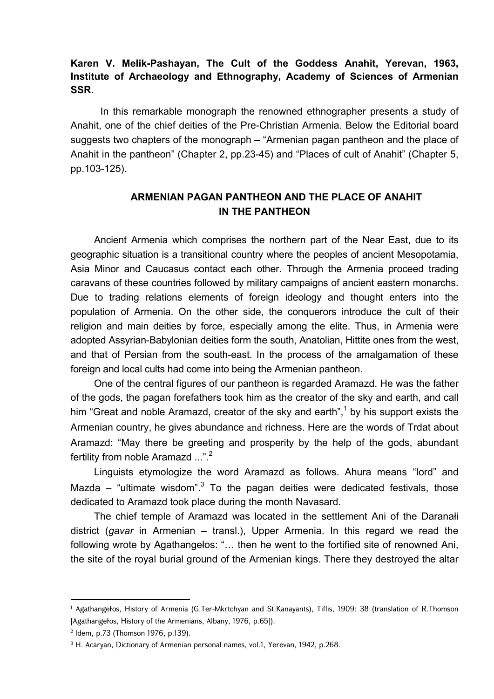## **Karen V. Melik-Pashayan, The Cult of the Goddess Anahit, Yerevan, 1963, Institute of Archaeology and Ethnography, Academy of Sciences of Armenian SSR.**

 In this remarkable monograph the renowned ethnographer presents a study of Anahit, one of the chief deities of the Pre-Christian Armenia. Below the Editorial board suggests two chapters of the monograph – "Armenian pagan pantheon and the place of Anahit in the pantheon" (Chapter 2, pp.23-45) and "Places of cult of Anahit" (Chapter 5, pp.103-125).

## **ARMENIAN PAGAN PANTHEON AND THE PLACE OF ANAHIT IN THE PANTHEON**

Ancient Armenia which comprises the northern part of the Near East, due to its geographic situation is a transitional country where the peoples of ancient Mesopotamia, Asia Minor and Caucasus contact each other. Through the Armenia proceed trading caravans of these countries followed by military campaigns of ancient eastern monarchs. Due to trading relations elements of foreign ideology and thought enters into the population of Armenia. On the other side, the conquerors introduce the cult of their religion and main deities by force, especially among the elite. Thus, in Armenia were adopted Assyrian-Babylonian deities form the south, Anatolian, Hittite ones from the west, and that of Persian from the south-east. In the process of the amalgamation of these foreign and local cults had come into being the Armenian pantheon.

One of the central figures of our pantheon is regarded Aramazd. He was the father of the gods, the pagan forefathers took him as the creator of the sky and earth, and call him "Great and noble Aramazd, creator of the sky and earth", $^1$  by his support exists the Armenian country, he gives abundance and richness. Here are the words of Trdat about Aramazd: "May there be greeting and prosperity by the help of the gods, abundant fertility from noble Aramazd ...".<sup>2</sup>

Linguists etymologize the word Aramazd as follows. Ahura means "lord" and Mazda – "ultimate wisdom". $3$  To the pagan deities were dedicated festivals, those dedicated to Aramazd took place during the month Navasard.

The chief temple of Aramazd was located in the settlement Ani of the Daranałi district (*gavar* in Armenian – transl.), Upper Armenia. In this regard we read the following wrote by Agathangełos: "… then he went to the fortified site of renowned Ani, the site of the royal burial ground of the Armenian kings. There they destroyed the altar

<sup>1</sup> Agathangełos, History of Armenia (G.Ter-Mkrtchyan and St.Kanayants), Tiflis, 1909: 38 (translation of R.Thomson [Agathangełos, History of the Armenians, Albany, 1976, p.65]).

<sup>2</sup> Idem, p.73 (Thomson 1976, p.139).

<sup>&</sup>lt;sup>3</sup> H. Acaryan, Dictionary of Armenian personal names, vol.1, Yerevan, 1942, p.268.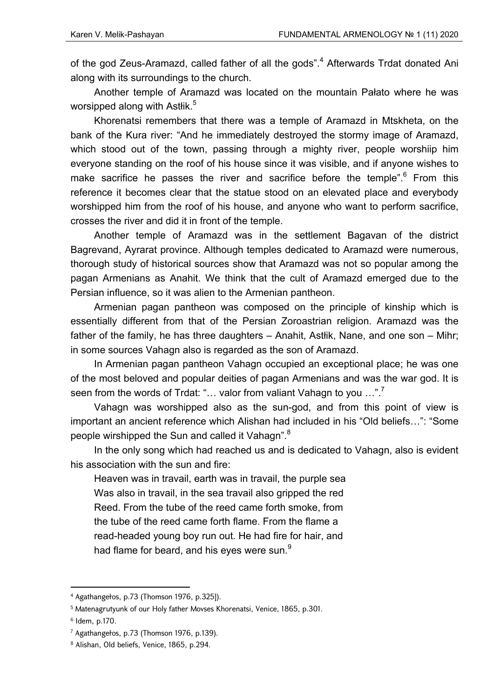of the god Zeus-Aramazd, called father of all the gods".<sup>4</sup> Afterwards Trdat donated Ani along with its surroundings to the church.

Another temple of Aramazd was located on the mountain Pałato where he was worsipped along with Astłik. $^5\,$ 

Khorenatsi remembers that there was a temple of Aramazd in Mtskheta, on the bank of the Kura river: "And he immediately destroyed the stormy image of Aramazd, which stood out of the town, passing through a mighty river, people worshiip him everyone standing on the roof of his house since it was visible, and if anyone wishes to make sacrifice he passes the river and sacrifice before the temple". $6$  From this reference it becomes clear that the statue stood on an elevated place and everybody worshipped him from the roof of his house, and anyone who want to perform sacrifice, crosses the river and did it in front of the temple.

Another temple of Aramazd was in the settlement Bagavan of the district Bagrevand, Ayrarat province. Although temples dedicated to Aramazd were numerous, thorough study of historical sources show that Aramazd was not so popular among the pagan Armenians as Anahit. We think that the cult of Aramazd emerged due to the Persian influence, so it was alien to the Armenian pantheon.

Armenian pagan pantheon was composed on the principle of kinship which is essentially different from that of the Persian Zoroastrian religion. Aramazd was the father of the family, he has three daughters – Anahit, Astłik, Nane, and one son – Mihr; in some sources Vahagn also is regarded as the son of Aramazd.

In Armenian pagan pantheon Vahagn occupied an exceptional place; he was one of the most beloved and popular deities of pagan Armenians and was the war god. It is seen from the words of Trdat: "... valor from valiant Vahagn to you ...".

Vahagn was worshipped also as the sun-god, and from this point of view is important an ancient reference which Alishan had included in his "Old beliefs…": "Some people wirshipped the Sun and called it Vahagn". $8$ 

In the only song which had reached us and is dedicated to Vahagn, also is evident his association with the sun and fire:

Heaven was in travail, earth was in travail, the purple sea Was also in travail, in the sea travail also gripped the red Reed. From the tube of the reed came forth smoke, from the tube of the reed came forth flame. From the flame a read-headed young boy run out. He had fire for hair, and had flame for beard, and his eyes were sun.<sup>9</sup>

<sup>4</sup> Agathangełos, p.73 (Thomson 1976, p.325]).

<sup>5</sup> Matenagrutyunk of our Holy father Movses Khorenatsi, Venice, 1865, p.301.

<sup>6</sup> Idem, p.170.

<sup>7</sup> Agathangełos, p.73 (Thomson 1976, p.139).

<sup>8</sup> Alishan, Old beliefs, Venice, 1865, p.294.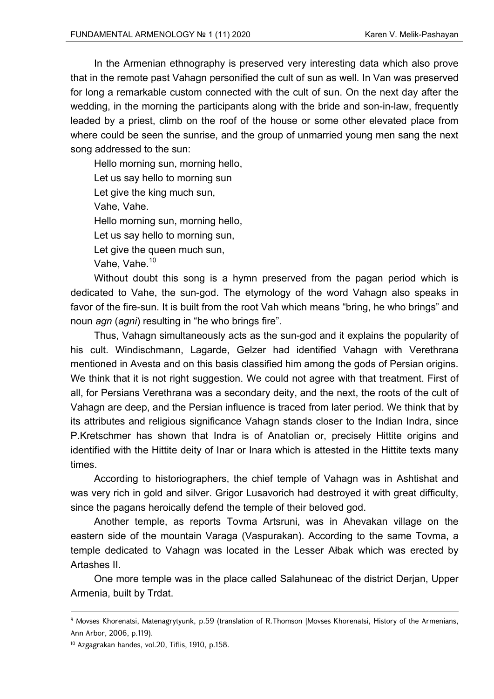In the Armenian ethnography is preserved very interesting data which also prove that in the remote past Vahagn personified the cult of sun as well. In Van was preserved for long a remarkable custom connected with the cult of sun. On the next day after the wedding, in the morning the participants along with the bride and son-in-law, frequently leaded by a priest, climb on the roof of the house or some other elevated place from where could be seen the sunrise, and the group of unmarried young men sang the next song addressed to the sun:

Hello morning sun, morning hello, Let us say hello to morning sun Let give the king much sun, Vahe, Vahe. Hello morning sun, morning hello, Let us say hello to morning sun, Let give the queen much sun, Vahe, Vahe.<sup>10</sup>

Without doubt this song is a hymn preserved from the pagan period which is dedicated to Vahe, the sun-god. The etymology of the word Vahagn also speaks in favor of the fire-sun. It is built from the root Vah which means "bring, he who brings" and noun *agn* (*agni*) resulting in "he who brings fire".

Thus, Vahagn simultaneously acts as the sun-god and it explains the popularity of his cult. Windischmann, Lagarde, Gelzer had identified Vahagn with Verethrana mentioned in Avesta and on this basis classified him among the gods of Persian origins. We think that it is not right suggestion. We could not agree with that treatment. First of all, for Persians Verethrana was a secondary deity, and the next, the roots of the cult of Vahagn are deep, and the Persian influence is traced from later period. We think that by its attributes and religious significance Vahagn stands closer to the Indian Indra, since P.Kretschmer has shown that Indra is of Anatolian or, precisely Hittite origins and identified with the Hittite deity of Inar or Inara which is attested in the Hittite texts many times.

According to historiographers, the chief temple of Vahagn was in Ashtishat and was very rich in gold and silver. Grigor Lusavorich had destroyed it with great difficulty, since the pagans heroically defend the temple of their beloved god.

Another temple, as reports Tovma Artsruni, was in Ahevakan village on the eastern side of the mountain Varaga (Vaspurakan). According to the same Tovma, a temple dedicated to Vahagn was located in the Lesser Ałbak which was erected by Artashes II.

One more temple was in the place called Salahuneac of the district Derjan, Upper Armenia, built by Trdat.

<sup>&</sup>lt;u> Andrewski politika (za obrazu pod predsjednika u predsjednika u predsjednika (za obrazu pod predsjednika (za</u> 9 Movses Khorenatsi, Matenagrytyunk, p.59 (translation of R.Thomson [Movses Khorenatsi, History of the Armenians, Ann Arbor, 2006, p.119).

<sup>&</sup>lt;sup>10</sup> Azgagrakan handes, vol.20, Tiflis, 1910, p.158.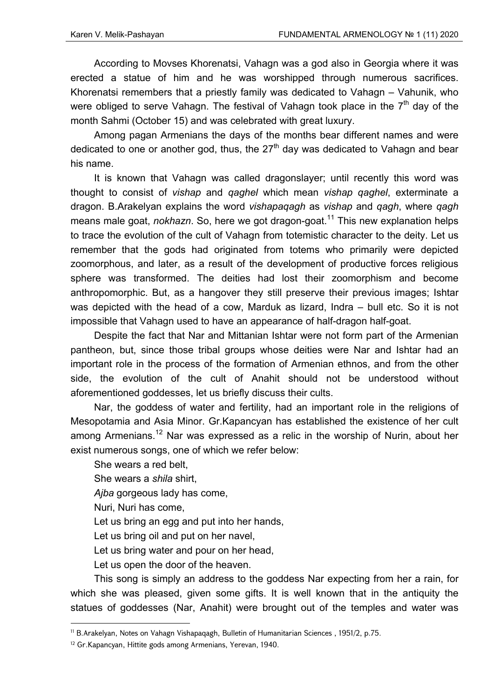According to Movses Khorenatsi, Vahagn was a god also in Georgia where it was erected a statue of him and he was worshipped through numerous sacrifices. Khorenatsi remembers that a priestly family was dedicated to Vahagn – Vahunik, who were obliged to serve Vahagn. The festival of Vahagn took place in the  $7<sup>th</sup>$  day of the month Sahmi (October 15) and was celebrated with great luxury.

Among pagan Armenians the days of the months bear different names and were dedicated to one or another god, thus, the  $27<sup>th</sup>$  day was dedicated to Vahagn and bear his name.

It is known that Vahagn was called dragonslayer; until recently this word was thought to consist of *vishap* and *qaghel* which mean *vishap qaghel*, exterminate a dragon. B.Arakelyan explains the word *vishapaqagh* as *vishap* and *qagh*, where *qagh* means male goat, *nokhazn*. So, here we got dragon-goat.<sup>11</sup> This new explanation helps to trace the evolution of the cult of Vahagn from totemistic character to the deity. Let us remember that the gods had originated from totems who primarily were depicted zoomorphous, and later, as a result of the development of productive forces religious sphere was transformed. The deities had lost their zoomorphism and become anthropomorphic. But, as a hangover they still preserve their previous images; Ishtar was depicted with the head of a cow, Marduk as lizard, Indra – bull etc. So it is not impossible that Vahagn used to have an appearance of half-dragon half-goat.

Despite the fact that Nar and Mittanian Ishtar were not form part of the Armenian pantheon, but, since those tribal groups whose deities were Nar and Ishtar had an important role in the process of the formation of Armenian ethnos, and from the other side, the evolution of the cult of Anahit should not be understood without aforementioned goddesses, let us briefly discuss their cults.

Nar, the goddess of water and fertility, had an important role in the religions of Mesopotamia and Asia Minor. Gr.Kapancyan has established the existence of her cult among Armenians.<sup>12</sup> Nar was expressed as a relic in the worship of Nurin, about her exist numerous songs, one of which we refer below:

She wears a red belt, She wears a *shila* shirt, *Ajba* gorgeous lady has come, Nuri, Nuri has come, Let us bring an egg and put into her hands, Let us bring oil and put on her navel, Let us bring water and pour on her head, Let us open the door of the heaven.

This song is simply an address to the goddess Nar expecting from her a rain, for which she was pleased, given some gifts. It is well known that in the antiquity the statues of goddesses (Nar, Anahit) were brought out of the temples and water was

<sup>11</sup> B.Arakelyan, Notes on Vahagn Vishapaqagh, Bulletin of Humanitarian Sciences , 1951/2, p.75.

<sup>&</sup>lt;sup>12</sup> Gr.Kapancyan, Hittite gods among Armenians, Yerevan, 1940.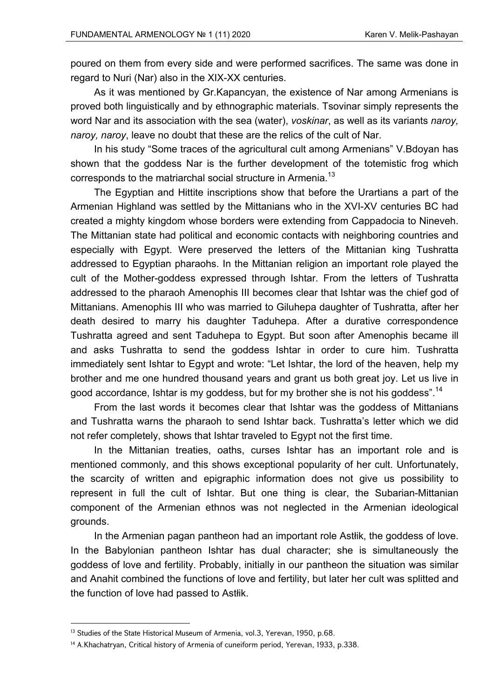poured on them from every side and were performed sacrifices. The same was done in regard to Nuri (Nar) also in the XIX-XX centuries.

As it was mentioned by Gr.Kapancyan, the existence of Nar among Armenians is proved both linguistically and by ethnographic materials. Tsovinar simply represents the word Nar and its association with the sea (water), *voskinar*, as well as its variants *naroy, naroy, naroy*, leave no doubt that these are the relics of the cult of Nar.

In his study "Some traces of the agricultural cult among Armenians" V.Bdoyan has shown that the goddess Nar is the further development of the totemistic frog which corresponds to the matriarchal social structure in Armenia.<sup>13</sup>

The Egyptian and Hittite inscriptions show that before the Urartians a part of the Armenian Highland was settled by the Mittanians who in the XVI-XV centuries BC had created a mighty kingdom whose borders were extending from Cappadocia to Nineveh. The Mittanian state had political and economic contacts with neighboring countries and especially with Egypt. Were preserved the letters of the Mittanian king Tushratta addressed to Egyptian pharaohs. In the Mittanian religion an important role played the cult of the Mother-goddess expressed through Ishtar. From the letters of Tushratta addressed to the pharaoh Amenophis III becomes clear that Ishtar was the chief god of Mittanians. Amenophis III who was married to Giluhepa daughter of Tushratta, after her death desired to marry his daughter Taduhepa. After a durative correspondence Tushratta agreed and sent Taduhepa to Egypt. But soon after Amenophis became ill and asks Tushratta to send the goddess Ishtar in order to cure him. Tushratta immediately sent Ishtar to Egypt and wrote: "Let Ishtar, the lord of the heaven, help my brother and me one hundred thousand years and grant us both great joy. Let us live in good accordance, Ishtar is my goddess, but for my brother she is not his goddess".<sup>14</sup>

From the last words it becomes clear that Ishtar was the goddess of Mittanians and Tushratta warns the pharaoh to send Ishtar back. Tushratta's letter which we did not refer completely, shows that Ishtar traveled to Egypt not the first time.

In the Mittanian treaties, oaths, curses Ishtar has an important role and is mentioned commonly, and this shows exceptional popularity of her cult. Unfortunately, the scarcity of written and epigraphic information does not give us possibility to represent in full the cult of Ishtar. But one thing is clear, the Subarian-Mittanian component of the Armenian ethnos was not neglected in the Armenian ideological grounds.

In the Armenian pagan pantheon had an important role Astłik, the goddess of love. In the Babylonian pantheon Ishtar has dual character; she is simultaneously the goddess of love and fertility. Probably, initially in our pantheon the situation was similar and Anahit combined the functions of love and fertility, but later her cult was splitted and the function of love had passed to Astłik.

<sup>&</sup>lt;sup>13</sup> Studies of the State Historical Museum of Armenia, vol.3, Yerevan, 1950, p.68.

<sup>&</sup>lt;sup>14</sup> A.Khachatryan, Critical history of Armenia of cuneiform period, Yerevan, 1933, p.338.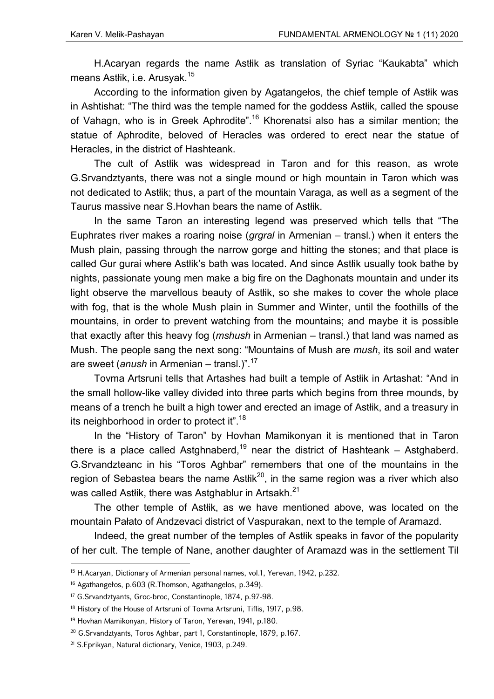H.Acaryan regards the name Astłik as translation of Syriac "Kaukabta" which means Astłik, i.e. Arusyak.<sup>15</sup>

According to the information given by Agatangełos, the chief temple of Astłik was in Ashtishat: "The third was the temple named for the goddess Astłik, called the spouse of Vahagn, who is in Greek Aphrodite".<sup>16</sup> Khorenatsi also has a similar mention; the statue of Aphrodite, beloved of Heracles was ordered to erect near the statue of Heracles, in the district of Hashteank.

The cult of Astłik was widespread in Taron and for this reason, as wrote G.Srvandztyants, there was not a single mound or high mountain in Taron which was not dedicated to Astłik; thus, a part of the mountain Varaga, as well as a segment of the Taurus massive near S.Hovhan bears the name of Astłik.

In the same Taron an interesting legend was preserved which tells that "The Euphrates river makes a roaring noise (*grgral* in Armenian – transl.) when it enters the Mush plain, passing through the narrow gorge and hitting the stones; and that place is called Gur gurai where Astłik's bath was located. And since Astłik usually took bathe by nights, passionate young men make а big fire on the Daghonats mountain and under its light observe the marvellous beauty of Astłik, so she makes to cover the whole place with fog, that is the whole Mush plain in Summer and Winter, until the foothills of the mountains, in order to prevent watching from the mountains; and maybe it is possible that exactly after this heavy fog (*mshush* in Armenian – transl.) that land was named as Mush. The people sang the next song: "Mountains of Mush are *mush*, its soil and water are sweet (*anush* in Armenian – transl.)".17

Tovma Artsruni tells that Artashes had built a temple of Astłik in Artashat: "And in the small hollow-like valley divided into three parts which begins from three mounds, by means of a trench he built a high tower and erected an image of Astłik, and a treasury in its neighborhood in order to protect it".<sup>18</sup>

In the "History of Taron" by Hovhan Mamikonyan it is mentioned that in Taron there is a place called Astghnaberd,<sup>19</sup> near the district of Hashteank – Astghaberd. G.Srvandzteanc in his "Toros Aghbar" remembers that one of the mountains in the region of Sebastea bears the name Ast $t$ ik<sup>20</sup>, in the same region was a river which also was called Astlik, there was Astghablur in Artsakh.<sup>21</sup>

The other temple of Astłik, as we have mentioned above, was located on the mountain Pałato of Andzevaci district of Vaspurakan, next to the temple of Aramazd.

Indeed, the great number of the temples of Astłik speaks in favor of the popularity of her cult. The temple of Nane, another daughter of Aramazd was in the settlement Til

<sup>&</sup>lt;sup>15</sup> H.Acaryan, Dictionary of Armenian personal names, vol.1, Yerevan, 1942, p.232.

<sup>16</sup> Agathangełos, p.603 (R.Thomson, Agathangelos, p.349).

<sup>17</sup> G.Srvandztyants, Groc-broc, Constantinople, 1874, p.97-98.

<sup>&</sup>lt;sup>18</sup> History of the House of Artsruni of Tovma Artsruni, Tiflis, 1917, p.98.

<sup>19</sup> Hovhan Mamikonyan, History of Taron, Yerevan, 1941, p.180.

<sup>20</sup> G.Srvandztyants, Toros Aghbar, part 1, Constantinople, 1879, p.167.

<sup>21</sup> S.Eprikyan, Natural dictionary, Venice, 1903, p.249.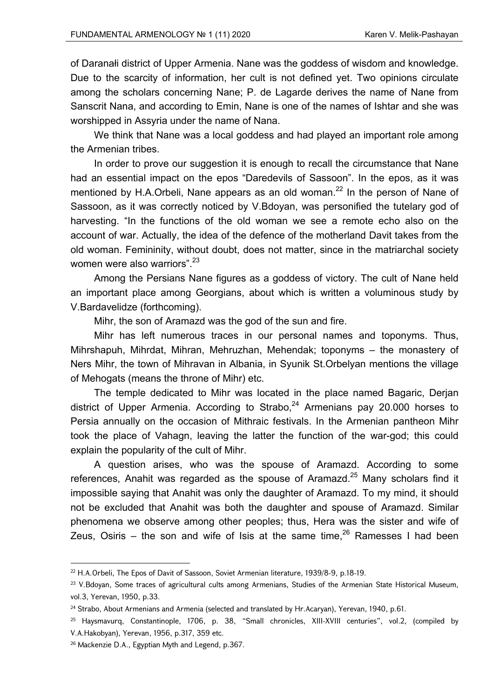of Daranałi district of Upper Armenia. Nane was the goddess of wisdom and knowledge. Due to the scarcity of information, her cult is not defined yet. Two opinions circulate among the scholars concerning Nane; P. de Lagarde derives the name of Nane from Sanscrit Nana, and according to Emin, Nane is one of the names of Ishtar and she was worshipped in Assyria under the name of Nana.

We think that Nane was a local goddess and had played an important role among the Armenian tribes.

In order to prove our suggestion it is enough to recall the circumstance that Nane had an essential impact on the epos "Daredevils of Sassoon". In the epos, as it was mentioned by H.A.Orbeli, Nane appears as an old woman.<sup>22</sup> In the person of Nane of Sassoon, as it was correctly noticed by V.Bdoyan, was personified the tutelary god of harvesting. "In the functions of the old woman we see a remote echo also on the account of war. Actually, the idea of the defence of the motherland Davit takes from the old woman. Femininity, without doubt, does not matter, since in the matriarchal society women were also warriors".<sup>23</sup>

Among the Persians Nane figures as a goddess of victory. The cult of Nane held an important place among Georgians, about which is written a voluminous study by V.Bardavelidze (forthcoming).

Mihr, the son of Aramazd was the god of the sun and fire.

Mihr has left numerous traces in our personal names and toponyms. Thus, Mihrshapuh, Mihrdat, Mihran, Mehruzhan, Mehendak; toponyms – the monastery of Ners Mihr, the town of Mihravan in Albania, in Syunik St.Orbelyan mentions the village of Mehogats (means the throne of Mihr) etc.

The temple dedicated to Mihr was located in the place named Bagaric, Derjan district of Upper Armenia. According to Strabo,  $24$  Armenians pay 20.000 horses to Persia annually on the occasion of Mithraic festivals. In the Armenian pantheon Mihr took the place of Vahagn, leaving the latter the function of the war-god; this could explain the popularity of the cult of Mihr.

A question arises, who was the spouse of Aramazd. According to some references, Anahit was regarded as the spouse of Aramazd.<sup>25</sup> Many scholars find it impossible saying that Anahit was only the daughter of Aramazd. To my mind, it should not be excluded that Anahit was both the daughter and spouse of Aramazd. Similar phenomena we observe among other peoples; thus, Hera was the sister and wife of Zeus, Osiris – the son and wife of Isis at the same time,  $26$  Ramesses I had been

<sup>&</sup>lt;sup>22</sup> H.A.Orbeli, The Epos of Davit of Sassoon, Soviet Armenian literature, 1939/8-9, p.18-19.

<sup>&</sup>lt;sup>23</sup> V.Bdoyan, Some traces of agricultural cults among Armenians, Studies of the Armenian State Historical Museum, vol.3, Yerevan, 1950, p.33.

<sup>&</sup>lt;sup>24</sup> Strabo, About Armenians and Armenia (selected and translated by Hr.Acaryan), Yerevan, 1940, p.61.

<sup>&</sup>lt;sup>25</sup> Haysmavurq, Constantinople, 1706, p. 38, "Small chronicles, XIII-XVIII centuries", vol.2, (compiled by V.A.Hakobyan), Yerevan, 1956, p.317, 359 etc.

<sup>&</sup>lt;sup>26</sup> Mackenzie D.A., Egyptian Myth and Legend, p.367.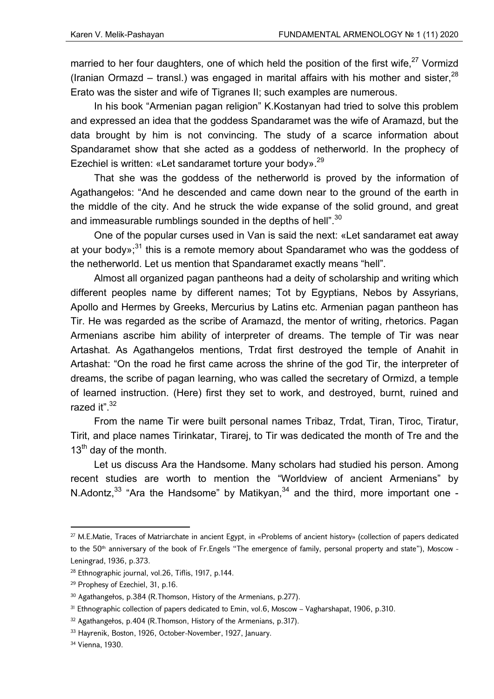married to her four daughters, one of which held the position of the first wife,<sup>27</sup> Vormizd (Iranian Ormazd – transl.) was engaged in marital affairs with his mother and sister,  $28$ Erato was the sister and wife of Tigranes II; such examples are numerous.

In his book "Armenian pagan religion" K.Kostanyan had tried to solve this problem and expressed an idea that the goddess Spandaramet was the wife of Aramazd, but the data brought by him is not convincing. The study of a scarce information about Spandaramet show that she acted as a goddess of netherworld. In the prophecy of Ezechiel is written: «Let sandaramet torture your body».<sup>29</sup>

That she was the goddess of the netherworld is proved by the information of Agathangełos: "And he descended and came down near to the ground of the earth in the middle of the city. And he struck the wide expanse of the solid ground, and great and immeasurable rumblings sounded in the depths of hell". $30$ 

One of the popular curses used in Van is said the next: «Let sandaramet eat away at your body»; $31$  this is a remote memory about Spandaramet who was the goddess of the netherworld. Let us mention that Spandaramet exactly means "hell".

Almost all organized pagan pantheons had a deity of scholarship and writing which different peoples name by different names; Tot by Egyptians, Nebos by Assyrians, Apollo and Hermes by Greeks, Mercurius by Latins etc. Armenian pagan pantheon has Tir. He was regarded as the scribe of Aramazd, the mentor of writing, rhetorics. Pagan Armenians ascribe him ability of interpreter of dreams. The temple of Tir was near Artashat. As Agathangełos mentions, Trdat first destroyed the temple of Anahit in Artashat: "On the road he first came across the shrine of the god Tir, the interpreter of dreams, the scribe of pagan learning, who was called the secretary of Ormizd, a temple of learned instruction. (Here) first they set to work, and destroyed, burnt, ruined and razed it".<sup>32</sup>

From the name Tir were built personal names Tribaz, Trdat, Tiran, Tiroc, Tiratur, Tirit, and place names Tirinkatar, Tirarej, to Tir was dedicated the month of Tre and the  $13<sup>th</sup>$  day of the month.

Let us discuss Ara the Handsome. Many scholars had studied his person. Among recent studies are worth to mention the "Worldview of ancient Armenians" by N.Adontz, $33$  "Ara the Handsome" by Matikyan, $34$  and the third, more important one -

<sup>&</sup>lt;sup>27</sup> M.E.Matie, Traces of Matriarchate in ancient Egypt, in «Problems of ancient history» (collection of papers dedicated to the 50<sup>th</sup> anniversary of the book of Fr.Engels "The emergence of family, personal property and state"), Moscow -Leningrad, 1936, p.373.

<sup>28</sup> Ethnographic journal, vol.26, Tiflis, 1917, p.144.

<sup>&</sup>lt;sup>29</sup> Prophesy of Ezechiel, 31, p.16.

<sup>30</sup> Agathangełos, p.384 (R.Thomson, History of the Armenians, p.277).

<sup>&</sup>lt;sup>31</sup> Ethnographic collection of papers dedicated to Emin, vol.6, Moscow – Vagharshapat, 1906, p.310.

<sup>32</sup> Agathangełos, p.404 (R.Thomson, History of the Armenians, p.317).

<sup>33</sup> Hayrenik, Boston, 1926, October-November, 1927, January.

<sup>34</sup> Vienna, 1930.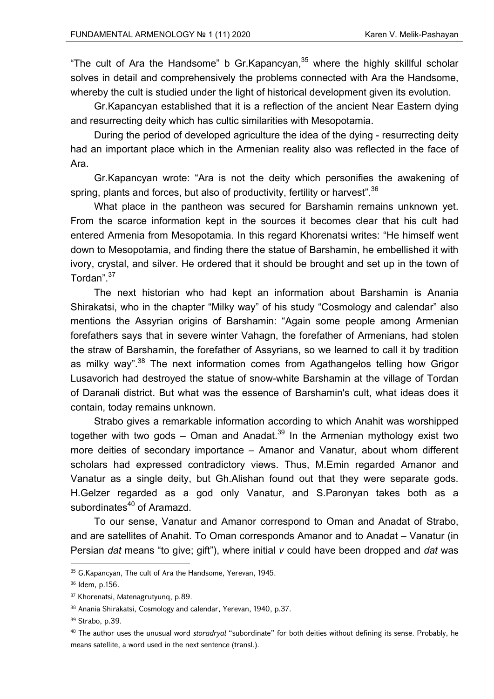"The cult of Ara the Handsome" b Gr.Kapancyan. $35$  where the highly skillful scholar solves in detail and comprehensively the problems connected with Ara the Handsome, whereby the cult is studied under the light of historical development given its evolution.

Gr.Kapancyan established that it is a reflection of the ancient Near Eastern dying and resurrecting deity which has cultic similarities with Mesopotamia.

During the period of developed agriculture the idea of the dying - resurrecting deity had an important place which in the Armenian reality also was reflected in the face of Ara.

Gr.Kapancyan wrote: "Ara is not the deity which personifies the awakening of spring, plants and forces, but also of productivity, fertility or harvest".  $36$ 

What place in the pantheon was secured for Barshamin remains unknown yet. From the scarce information kept in the sources it becomes clear that his cult had entered Armenia from Mesopotamia. In this regard Khorenatsi writes: "He himself went down to Mesopotamia, and finding there the statue of Barshamin, he embellished it with ivory, crystal, and silver. He ordered that it should be brought and set up in the town of Tordan".<sup>37</sup>

The next historian who had kept an information about Barshamin is Anania Shirakatsi, who in the chapter "Milky way" of his study "Cosmology and calendar" also mentions the Assyrian origins of Barshamin: "Again some people among Armenian forefathers says that in severe winter Vahagn, the forefather of Armenians, had stolen the straw of Barshamin, the forefather of Assyrians, so we learned to call it by tradition as milky way".<sup>38</sup> The next information comes from Agathangelos telling how Grigor Lusavorich had destroyed the statue of snow-white Barshamin at the village of Tordan of Daranałi district. But what was the essence of Barshamin's cult, what ideas does it contain, today remains unknown.

Strabo gives a remarkable information according to which Anahit was worshipped together with two gods – Oman and Anadat.<sup>39</sup> In the Armenian mythology exist two more deities of secondary importance – Amanor and Vanatur, about whom different scholars had expressed contradictory views. Thus, M.Emin regarded Amanor and Vanatur as a single deity, but Gh.Alishan found out that they were separate gods. H.Gelzer regarded as a god only Vanatur, and S.Paronyan takes both as a subordinates<sup>40</sup> of Aramazd.

To our sense, Vanatur and Amanor correspond to Oman and Anadat of Strabo, and are satellites of Anahit. To Oman corresponds Amanor and to Anadat – Vanatur (in Persian *dat* means "to give; gift"), where initial *v* could have been dropped and *dat* was

<sup>35</sup> G.Kapancyan, The cult of Ara the Handsome, Yerevan, 1945.

<sup>36</sup> Idem, p.156.

<sup>37</sup> Khorenatsi, Matenagrutyunq, p.89.

<sup>38</sup> Anania Shirakatsi, Cosmology and calendar, Yerevan, 1940, p.37.

<sup>39</sup> Strabo, p.39.

<sup>40</sup> The author uses the unusual word *storadryal* "subordinate" for both deities without defining its sense. Probably, he means satellite, a word used in the next sentence (transl.).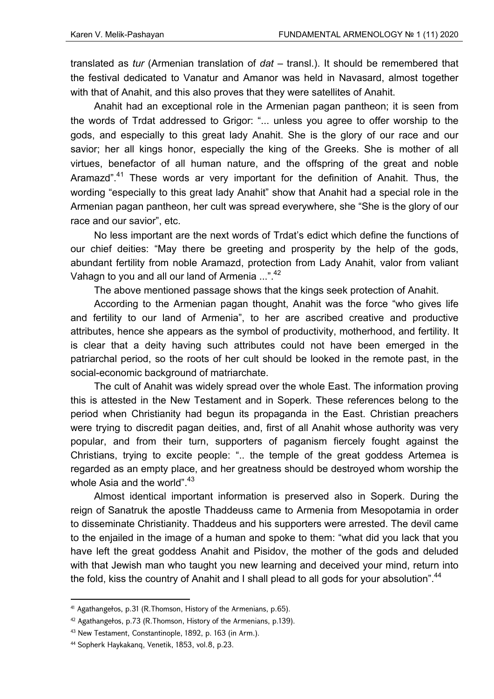translated as *tur* (Armenian translation of *dat* – transl.). It should be remembered that the festival dedicated to Vanatur and Amanor was held in Navasard, almost together with that of Anahit, and this also proves that they were satellites of Anahit.

Anahit had an exceptional role in the Armenian pagan pantheon; it is seen from the words of Trdat addressed to Grigor: "... unless you agree to offer worship to the gods, and especially to this great lady Anahit. She is the glory of our race and our savior; her all kings honor, especially the king of the Greeks. She is mother of all virtues, benefactor of all human nature, and the offspring of the great and noble Aramazd".<sup>41</sup> These words ar very important for the definition of Anahit. Thus, the wording "especially to this great lady Anahit" show that Anahit had a special role in the Armenian pagan pantheon, her cult was spread everywhere, she "She is the glory of our race and our savior", etc.

No less important are the next words of Trdat's edict which define the functions of our chief deities: "May there be greeting and prosperity by the help of the gods, abundant fertility from noble Aramazd, protection from Lady Anahit, valor from valiant Vahagn to you and all our land of Armenia ...".<sup>42</sup>

The above mentioned passage shows that the kings seek protection of Anahit.

According to the Armenian pagan thought, Anahit was the force "who gives life and fertility to our land of Armenia", to her are ascribed creative and productive attributes, hence she appears as the symbol of productivity, motherhood, and fertility. It is clear that a deity having such attributes could not have been emerged in the patriarchal period, so the roots of her cult should be looked in the remote past, in the social-economic background of matriarchate.

The cult of Anahit was widely spread over the whole East. The information proving this is attested in the New Testament and in Soperk. These references belong to the period when Christianity had begun its propaganda in the East. Christian preachers were trying to discredit pagan deities, and, first of all Anahit whose authority was very popular, and from their turn, supporters of paganism fiercely fought against the Christians, trying to excite people: ".. the temple of the great goddess Artemea is regarded as an empty place, and her greatness should be destroyed whom worship the whole Asia and the world".<sup>43</sup>

Almost identical important information is preserved also in Soperk. During the reign of Sanatruk the apostle Thaddeuss came to Armenia from Mesopotamia in order to disseminate Christianity. Thaddeus and his supporters were arrested. The devil came to the enjailed in the image of a human and spoke to them: "what did you lack that you have left the great goddess Anahit and Pisidov, the mother of the gods and deluded with that Jewish man who taught you new learning and deceived your mind, return into the fold, kiss the country of Anahit and I shall plead to all gods for your absolution".<sup>44</sup>

<sup>41</sup> Agathangełos, p.31 (R.Thomson, History of the Armenians, p.65).

<sup>42</sup> Agathangełos, p.73 (R.Thomson, History of the Armenians, p.139).

<sup>43</sup> New Testament, Constantinople, 1892, p. 163 (in Arm.).

<sup>44</sup> Sopherk Haykakanq, Venetik, 1853, vol.8, p.23.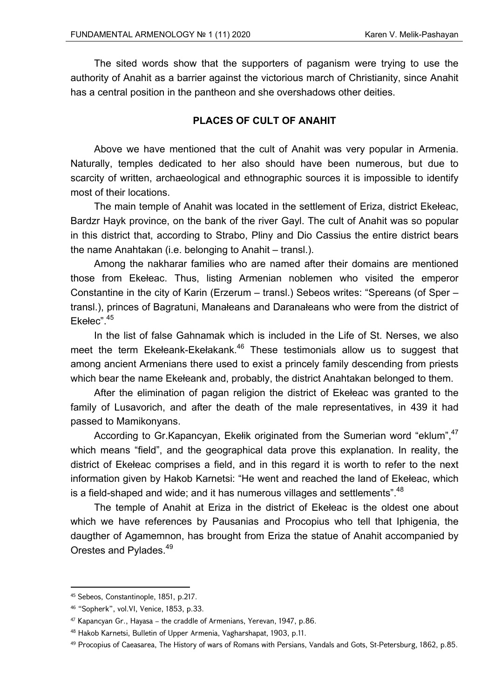The sited words show that the supporters of paganism were trying to use the authority of Anahit as a barrier against the victorious march of Christianity, since Anahit has a central position in the pantheon and she overshadows other deities.

## **PLACES OF CULT OF ANAHIT**

Above we have mentioned that the cult of Anahit was very popular in Armenia. Naturally, temples dedicated to her also should have been numerous, but due to scarcity of written, archaeological and ethnographic sources it is impossible to identify most of their locations.

The main temple of Anahit was located in the settlement of Eriza, district Ekełeac, Bardzr Hayk province, on the bank of the river Gayl. The cult of Anahit was so popular in this district that, according to Strabo, Pliny and Dio Cassius the entire district bears the name Anahtakan (i.e. belonging to Anahit – transl.).

Among the nakharar families who are named after their domains are mentioned those from Ekełeac. Thus, listing Armenian noblemen who visited the emperor Constantine in the city of Karin (Erzerum – transl.) Sebeos writes: "Spereans (of Sper – transl.), princes of Bagratuni, Manałeans and Daranałeans who were from the district of Ekełec".<sup>45</sup>

In the list of false Gahnamak which is included in the Life of St. Nerses, we also meet the term Ekełeank-Ekełakank.<sup>46</sup> These testimonials allow us to suggest that among ancient Armenians there used to exist a princely family descending from priests which bear the name Ekełeank and, probably, the district Anahtakan belonged to them.

After the elimination of pagan religion the district of Ekełeac was granted to the family of Lusavorich, and after the death of the male representatives, in 439 it had passed to Mamikonyans.

According to Gr. Kapancyan, Ekelik originated from the Sumerian word "eklum", 47 which means "field", and the geographical data prove this explanation. In reality, the district of Ekełeac comprises a field, and in this regard it is worth to refer to the next information given by Hakob Karnetsi: "He went and reached the land of Ekełeac, which is a field-shaped and wide; and it has numerous villages and settlements". $48$ 

The temple of Anahit at Eriza in the district of Ekełeac is the oldest one about which we have references by Pausanias and Procopius who tell that Iphigenia, the daugther of Agamemnon, has brought from Eriza the statue of Anahit accompanied by Orestes and Pylades.<sup>49</sup>

 45 Sebeos, Constantinople, 1851, p.217.

<sup>46 &</sup>quot;Sopherk", vol.VI, Venice, 1853, p.33.

<sup>47</sup> Kapancyan Gr., Hayasa – the craddle of Armenians, Yerevan, 1947, p.86.

<sup>48</sup> Hakob Karnetsi, Bulletin of Upper Armenia, Vagharshapat, 1903, p.11.

<sup>&</sup>lt;sup>49</sup> Procopius of Caeasarea, The History of wars of Romans with Persians, Vandals and Gots, St-Petersburg, 1862, p.85.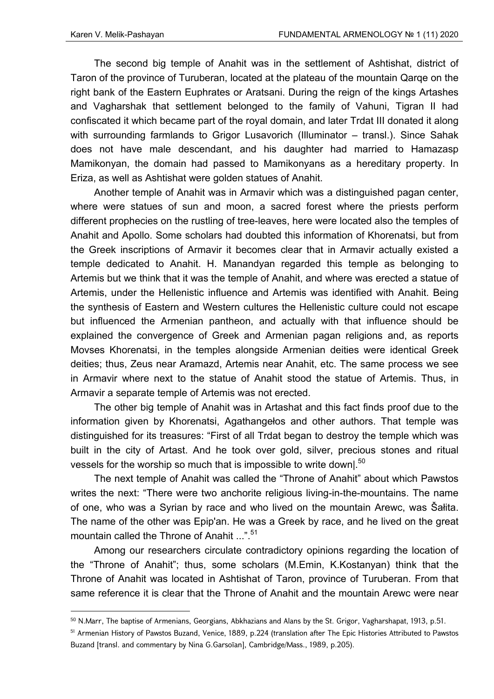The second big temple of Anahit was in the settlement of Ashtishat, district of Taron of the province of Turuberan, located at the plateau of the mountain Qarqe on the right bank of the Eastern Euphrates or Aratsani. During the reign of the kings Artashes and Vagharshak that settlement belonged to the family of Vahuni, Tigran II had confiscated it which became part of the royal domain, and later Trdat III donated it along with surrounding farmlands to Grigor Lusavorich (Illuminator – transl.). Since Sahak does not have male descendant, and his daughter had married to Hamazasp Mamikonyan, the domain had passed to Mamikonyans as a hereditary property. In Eriza, as well as Ashtishat were golden statues of Anahit.

Another temple of Anahit was in Armavir which was a distinguished pagan center, where were statues of sun and moon, a sacred forest where the priests perform different prophecies on the rustling of tree-leaves, here were located also the temples of Anahit and Apollo. Some scholars had doubted this information of Khorenatsi, but from the Greek inscriptions of Armavir it becomes clear that in Armavir actually existed a temple dedicated to Anahit. H. Manandyan regarded this temple as belonging to Artemis but we think that it was the temple of Anahit, and where was erected a statue of Artemis, under the Hellenistic influence and Artemis was identified with Anahit. Being the synthesis of Eastern and Western cultures the Hellenistic culture could not escape but influenced the Armenian pantheon, and actually with that influence should be explained the convergence of Greek and Armenian pagan religions and, as reports Movses Khorenatsi, in the temples alongside Armenian deities were identical Greek deities; thus, Zeus near Aramazd, Artemis near Anahit, etc. The same process we see in Armavir where next to the statue of Anahit stood the statue of Artemis. Thus, in Armavir a separate temple of Artemis was not erected.

The other big temple of Anahit was in Artashat and this fact finds proof due to the information given by Khorenatsi, Agathangełos and other authors. That temple was distinguished for its treasures: "First of all Trdat began to destroy the temple which was built in the city of Artast. And he took over gold, silver, precious stones and ritual vessels for the worship so much that is impossible to write down|.<sup>50</sup>

The next temple of Anahit was called the "Throne of Anahit" about which Pawstos writes the next: "There were two anchorite religious living-in-the-mountains. The name of one, who was a Syrian by race and who lived on the mountain Arewc, was Šałita. The name of the other was Epip'an. He was a Greek by race, and he lived on the great mountain called the Throne of Anahit ...".<sup>51</sup>

Among our researchers circulate contradictory opinions regarding the location of the "Throne of Anahit"; thus, some scholars (M.Emin, K.Kostanyan) think that the Throne of Anahit was located in Ashtishat of Taron, province of Turuberan. From that same reference it is clear that the Throne of Anahit and the mountain Arewc were near

<sup>&</sup>lt;sup>50</sup> N.Marr, The baptise of Armenians, Georgians, Abkhazians and Alans by the St. Grigor, Vagharshapat, 1913, p.51.

<sup>51</sup> Armenian History of Pawstos Buzand, Venice, 1889, p.224 (translation after The Epic Histories Attributed to Pawstos Buzand [transl. and commentary by Nina G.Garsoïan], Cambridge/Mass., 1989, p.205).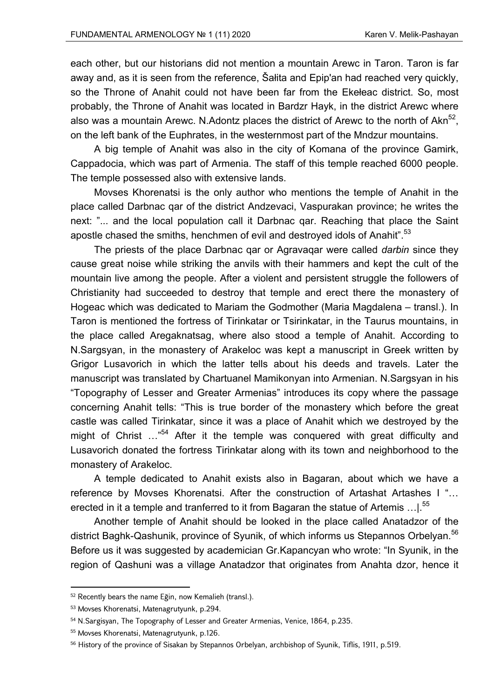each other, but our historians did not mention a mountain Arewc in Taron. Taron is far away and, as it is seen from the reference, Šałita and Epip'an had reached very quickly, so the Throne of Anahit could not have been far from the Ekełeac district. So, most probably, the Throne of Anahit was located in Bardzr Hayk, in the district Arewc where also was a mountain Arewc. N.Adontz places the district of Arewc to the north of Akn<sup>52</sup>. on the left bank of the Euphrates, in the westernmost part of the Mndzur mountains.

A big temple of Anahit was also in the city of Komana of the province Gamirk, Cappadocia, which was part of Armenia. The staff of this temple reached 6000 people. The temple possessed also with extensive lands.

Movses Khorenatsi is the only author who mentions the temple of Anahit in the place called Darbnac qar of the district Andzevaci, Vaspurakan province; he writes the next: "... and the local population call it Darbnac qar. Reaching that place the Saint apostle chased the smiths, henchmen of evil and destroyed idols of Anahit".<sup>53</sup>

The priests of the place Darbnac qar or Agravaqar were called *darbin* since they cause great noise while striking the anvils with their hammers and kept the cult of the mountain live among the people. After a violent and persistent struggle the followers of Christianity had succeeded to destroy that temple and erect there the monastery of Hogeac which was dedicated to Mariam the Godmother (Maria Magdalena – transl.). In Taron is mentioned the fortress of Tirinkatar or Tsirinkatar, in the Taurus mountains, in the place called Aregaknatsag, where also stood a temple of Anahit. According to N.Sargsyan, in the monastery of Arakeloc was kept a manuscript in Greek written by Grigor Lusavorich in which the latter tells about his deeds and travels. Later the manuscript was translated by Chartuanel Mamikonyan into Armenian. N.Sargsyan in his "Topography of Lesser and Greater Armenias" introduces its copy where the passage concerning Anahit tells: "This is true border of the monastery which before the great castle was called Tirinkatar, since it was a place of Anahit which we destroyed by the might of Christ …"54 After it the temple was conquered with great difficulty and Lusavorich donated the fortress Tirinkatar along with its town and neighborhood to the monastery of Arakeloc.

A temple dedicated to Anahit exists also in Bagaran, about which we have a reference by Movses Khorenatsi. After the construction of Artashat Artashes I "… erected in it a temple and tranferred to it from Bagaran the statue of Artemis ... | 55

Another temple of Anahit should be looked in the place called Anatadzor of the district Baghk-Qashunik, province of Syunik, of which informs us Stepannos Orbelyan.<sup>56</sup> Before us it was suggested by academician Gr.Kapancyan who wrote: "In Syunik, in the region of Qashuni was a village Anatadzor that originates from Anahta dzor, hence it

<sup>52</sup> Recently bears the name Eğin, now Kemalieh (transl.).

<sup>53</sup> Movses Khorenatsi, Matenagrutyunk, p.294.

<sup>54</sup> N.Sargisyan, The Topography of Lesser and Greater Armenias, Venice, 1864, p.235.

<sup>55</sup> Movses Khorenatsi, Matenagrutyunk, p.126.

<sup>&</sup>lt;sup>56</sup> History of the province of Sisakan by Stepannos Orbelyan, archbishop of Syunik, Tiflis, 1911, p.519.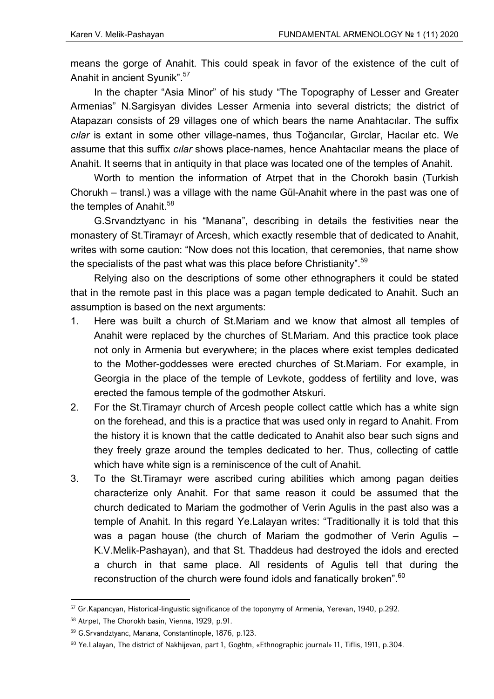means the gorge of Anahit. This could speak in favor of the existence of the cult of Anahit in ancient Syunik".<sup>57</sup>

In the chapter "Asia Minor" of his study "The Topography of Lesser and Greater Armenias" N.Sargisyan divides Lesser Armenia into several districts; the district of Atapazarı consists of 29 villages one of which bears the name Anahtacılar. The suffix *cılar* is extant in some other village-names, thus Toğancılar, Gırclar, Hacılar etc. We assume that this suffix *cılar* shows place-names, hence Anahtacılar means the place of Anahit. It seems that in antiquity in that place was located one of the temples of Anahit.

Worth to mention the information of Atrpet that in the Chorokh basin (Turkish Chorukh – transl.) was a village with the name Gül-Anahit where in the past was one of the temples of Anahit.<sup>58</sup>

G.Srvandztyanc in his "Manana", describing in details the festivities near the monastery of St.Tiramayr of Arcesh, which exactly resemble that of dedicated to Anahit, writes with some caution: "Now does not this location, that ceremonies, that name show the specialists of the past what was this place before Christianity".  $59$ 

Relying also on the descriptions of some other ethnographers it could be stated that in the remote past in this place was a pagan temple dedicated to Anahit. Such an assumption is based on the next arguments:

- 1. Here was built a church of St.Mariam and we know that almost all temples of Anahit were replaced by the churches of St.Mariam. And this practice took place not only in Armenia but everywhere; in the places where exist temples dedicated to the Mother-goddesses were erected churches of St.Mariam. For example, in Georgia in the place of the temple of Levkote, goddess of fertility and love, was erected the famous temple of the godmother Atskuri.
- 2. For the St.Tiramayr church of Arcesh people collect cattle which has a white sign on the forehead, and this is a practice that was used only in regard to Anahit. From the history it is known that the cattle dedicated to Anahit also bear such signs and they freely graze around the temples dedicated to her. Thus, collecting of cattle which have white sign is a reminiscence of the cult of Anahit.
- 3. To the St.Tiramayr were ascribed curing abilities which among pagan deities characterize only Anahit. For that same reason it could be assumed that the church dedicated to Mariam the godmother of Verin Agulis in the past also was a temple of Anahit. In this regard Ye.Lalayan writes: "Traditionally it is told that this was a pagan house (the church of Mariam the godmother of Verin Agulis – K.V.Melik-Pashayan), and that St. Thaddeus had destroyed the idols and erected a church in that same place. All residents of Agulis tell that during the reconstruction of the church were found idols and fanatically broken".<sup>60</sup>

<sup>57</sup> Gr.Kapancyan, Historical-linguistic significance of the toponymy of Armenia, Yerevan, 1940, p.292.

<sup>58</sup> Atrpet, The Chorokh basin, Vienna, 1929, p.91.

<sup>59</sup> G.Srvandztyanc, Manana, Constantinople, 1876, p.123.

<sup>60</sup> Ye.Lalayan, The district of Nakhijevan, part 1, Goghtn, «Ethnographic journal» 11, Tiflis, 1911, p.304.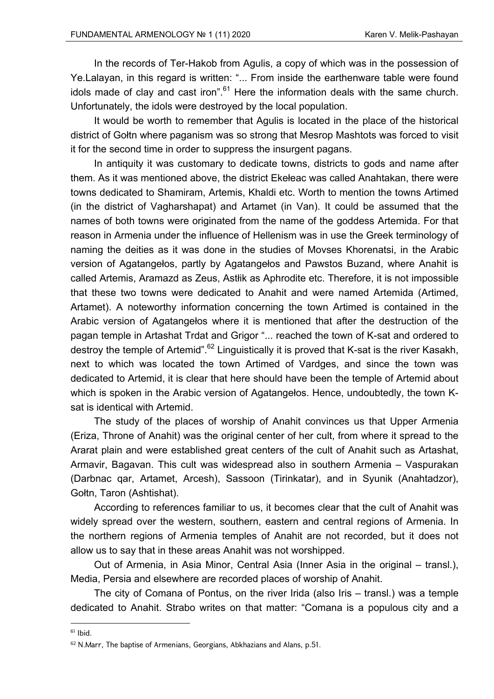In the records of Ter-Hakob from Agulis, a copy of which was in the possession of Ye.Lalayan, in this regard is written: "... From inside the earthenware table were found idols made of clay and cast iron". $61$  Here the information deals with the same church. Unfortunately, the idols were destroyed by the local population.

It would be worth to remember that Agulis is located in the place of the historical district of Gołtn where paganism was so strong that Mesrop Mashtots was forced to visit it for the second time in order to suppress the insurgent pagans.

In antiquity it was customary to dedicate towns, districts to gods and name after them. As it was mentioned above, the district Ekełeac was called Anahtakan, there were towns dedicated to Shamiram, Artemis, Khaldi etc. Worth to mention the towns Artimed (in the district of Vagharshapat) and Artamet (in Van). It could be assumed that the names of both towns were originated from the name of the goddess Artemida. For that reason in Armenia under the influence of Hellenism was in use the Greek terminology of naming the deities as it was done in the studies of Movses Khorenatsi, in the Arabic version of Agatangełos, partly by Agatangełos and Pawstos Buzand, where Anahit is called Artemis, Aramazd as Zeus, Astłik as Aphrodite etc. Therefore, it is not impossible that these two towns were dedicated to Anahit and were named Artemida (Artimed, Artamet). A noteworthy information concerning the town Artimed is contained in the Arabic version of Agatangełos where it is mentioned that after the destruction of the pagan temple in Artashat Trdat and Grigor "... reached the town of K-sat and ordered to destroy the temple of Artemid".<sup>62</sup> Linguistically it is proved that K-sat is the river Kasakh, next to which was located the town Artimed of Vardges, and since the town was dedicated to Artemid, it is clear that here should have been the temple of Artemid about which is spoken in the Arabic version of Agatangełos. Hence, undoubtedly, the town Ksat is identical with Artemid.

The study of the places of worship of Anahit convinces us that Upper Armenia (Eriza, Throne of Anahit) was the original center of her cult, from where it spread to the Ararat plain and were established great centers of the cult of Anahit such as Artashat, Armavir, Bagavan. This cult was widespread also in southern Armenia – Vaspurakan (Darbnac qar, Artamet, Arcesh), Sassoon (Tirinkatar), and in Syunik (Anahtadzor), Gołtn, Taron (Ashtishat).

According to references familiar to us, it becomes clear that the cult of Anahit was widely spread over the western, southern, eastern and central regions of Armenia. In the northern regions of Armenia temples of Anahit are not recorded, but it does not allow us to say that in these areas Anahit was not worshipped.

Out of Armenia, in Asia Minor, Central Asia (Inner Asia in the original – transl.), Media, Persia and elsewhere are recorded places of worship of Anahit.

The city of Comana of Pontus, on the river Irida (also Iris – transl.) was a temple dedicated to Anahit. Strabo writes on that matter: "Comana is a populous city and a

 $61$  Ibid.

<sup>62</sup> N.Marr, The baptise of Armenians, Georgians, Abkhazians and Alans, p.51.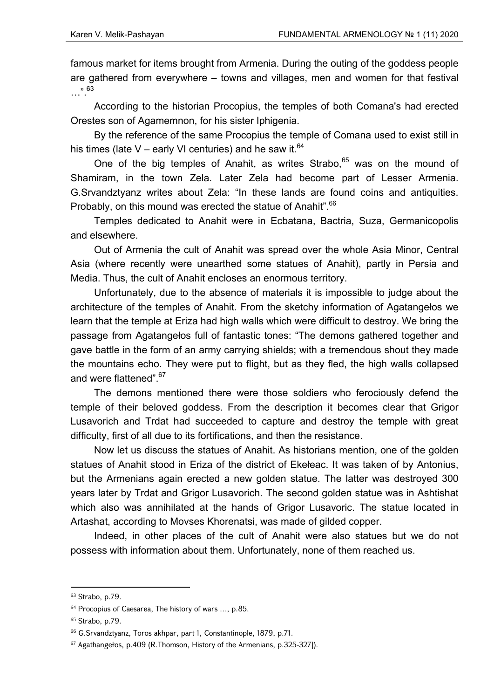famous market for items brought from Armenia. During the outing of the goddess people are gathered from everywhere – towns and villages, men and women for that festival …".63

According to the historian Procopius, the temples of both Comana's had erected Orestes son of Agamemnon, for his sister Iphigenia.

By the reference of the same Procopius the temple of Comana used to exist still in his times (late V – early VI centuries) and he saw it.  $64$ 

One of the big temples of Anahit, as writes Strabo,  $65$  was on the mound of Shamiram, in the town Zela. Later Zela had become part of Lesser Armenia. G.Srvandztyanz writes about Zela: "In these lands are found coins and antiquities. Probably, on this mound was erected the statue of Anahit".<sup>66</sup>

Temples dedicated to Anahit were in Ecbatana, Bactria, Suza, Germanicopolis and elsewhere.

Out of Armenia the cult of Anahit was spread over the whole Asia Minor, Central Asia (where recently were unearthed some statues of Anahit), partly in Persia and Media. Thus, the cult of Anahit encloses an enormous territory.

Unfortunately, due to the absence of materials it is impossible to judge about the architecture of the temples of Anahit. From the sketchy information of Agatangełos we learn that the temple at Eriza had high walls which were difficult to destroy. We bring the passage from Agatangełos full of fantastic tones: "The demons gathered together and gave battle in the form of an army carrying shields; with a tremendous shout they made the mountains echo. They were put to flight, but as they fled, the high walls collapsed and were flattened".<sup>67</sup>

The demons mentioned there were those soldiers who ferociously defend the temple of their beloved goddess. From the description it becomes clear that Grigor Lusavorich and Trdat had succeeded to capture and destroy the temple with great difficulty, first of all due to its fortifications, and then the resistance.

Now let us discuss the statues of Anahit. As historians mention, one of the golden statues of Anahit stood in Eriza of the district of Ekełeac. It was taken of by Antonius, but the Armenians again erected a new golden statue. The latter was destroyed 300 years later by Trdat and Grigor Lusavorich. The second golden statue was in Ashtishat which also was annihilated at the hands of Grigor Lusavoric. The statue located in Artashat, according to Movses Khorenatsi, was made of gilded copper.

Indeed, in other places of the cult of Anahit were also statues but we do not possess with information about them. Unfortunately, none of them reached us.

<sup>63</sup> Strabo, p.79.

<sup>64</sup> Procopius of Caesarea, The history of wars …, p.85.

<sup>65</sup> Strabo, p.79.

<sup>66</sup> G.Srvandztyanz, Toros akhpar, part 1, Constantinople, 1879, p.71.

<sup>67</sup> Agathangełos, p.409 (R.Thomson, History of the Armenians, p.325-327]).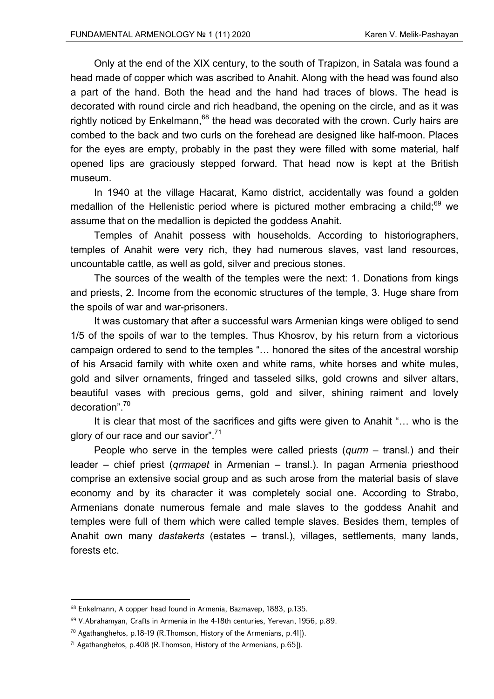Only at the end of the XIX century, to the south of Trapizon, in Satala was found a head made of copper which was ascribed to Anahit. Along with the head was found also a part of the hand. Both the head and the hand had traces of blows. The head is decorated with round circle and rich headband, the opening on the circle, and as it was rightly noticed by Enkelmann,  $68$  the head was decorated with the crown. Curly hairs are combed to the back and two curls on the forehead are designed like half-moon. Places for the eyes are empty, probably in the past they were filled with some material, half opened lips are graciously stepped forward. That head now is kept at the British museum.

In 1940 at the village Hacarat, Kamo district, accidentally was found a golden medallion of the Hellenistic period where is pictured mother embracing a child; $^{69}$  we assume that on the medallion is depicted the goddess Anahit.

Temples of Anahit possess with households. According to historiographers, temples of Anahit were very rich, they had numerous slaves, vast land resources, uncountable cattle, as well as gold, silver and precious stones.

The sources of the wealth of the temples were the next: 1. Donations from kings and priests, 2. Income from the economic structures of the temple, 3. Huge share from the spoils of war and war-prisoners.

It was customary that after a successful wars Armenian kings were obliged to send 1/5 of the spoils of war to the temples. Thus Khosrov, by his return from a victorious campaign ordered to send to the temples "… honored the sites of the ancestral worship of his Arsacid family with white oxen and white rams, white horses and white mules, gold and silver ornaments, fringed and tasseled silks, gold crowns and silver altars, beautiful vases with precious gems, gold and silver, shining raiment and lovely decoration".<sup>70</sup>

It is clear that most of the sacrifices and gifts were given to Anahit "… who is the glory of our race and our savior".<sup>71</sup>

People who serve in the temples were called priests (*qurm* – transl.) and their leader – chief priest (*qrmapet* in Armenian – transl.). In pagan Armenia priesthood comprise an extensive social group and as such arose from the material basis of slave economy and by its character it was completely social one. According to Strabo, Armenians donate numerous female and male slaves to the goddess Anahit and temples were full of them which were called temple slaves. Besides them, temples of Anahit own many *dastakerts* (estates – transl.), villages, settlements, many lands, forests etc.

<sup>68</sup> Enkelmann, A copper head found in Armenia, Bazmavep, 1883, p.135.

<sup>69</sup> V.Abrahamyan, Crafts in Armenia in the 4-18th centuries, Yerevan, 1956, p.89.

<sup>70</sup> Agathanghełos, p.18-19 (R.Thomson, History of the Armenians, p.41]).

<sup>71</sup> Agathanghełos, p.408 (R.Thomson, History of the Armenians, p.65]).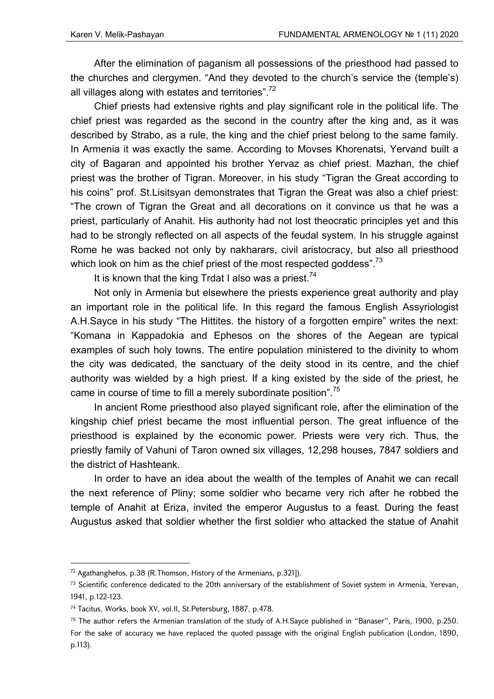After the elimination of paganism all possessions of the priesthood had passed to the churches and clergymen. "And they devoted to the church's service the (temple's) all villages along with estates and territories". $72$ 

Chief priests had extensive rights and play significant role in the political life. The chief priest was regarded as the second in the country after the king and, as it was described by Strabo, as a rule, the king and the chief priest belong to the same family. In Armenia it was exactly the same. According to Movses Khorenatsi, Yervand built a city of Bagaran and appointed his brother Yervaz as chief priest. Mazhan, the chief priest was the brother of Tigran. Moreover, in his study "Tigran the Great according to his coins" prof. St.Lisitsyan demonstrates that Tigran the Great was also a chief priest: "The crown of Tigran the Great and all decorations on it convince us that he was a priest, particularly of Anahit. His authority had not lost theocratic principles yet and this had to be strongly reflected on all aspects of the feudal system. In his struggle against Rome he was backed not only by nakharars, civil aristocracy, but also all priesthood which look on him as the chief priest of the most respected goddess".<sup>73</sup>

It is known that the king Trdat I also was a priest.<sup>74</sup>

Not only in Armenia but elsewhere the priests experience great authority and play an important role in the political life. In this regard the famous English Assyriologist A.H.Sayce in his study "The Hittites. the history of a forgotten empire" writes the next: "Komana in Kappadokia and Ephesos on the shores of the Aegean are typical examples of such holy towns. The entire population ministered to the divinity to whom the city was dedicated, the sanctuary of the deity stood in its centre, and the chief authority was wielded by a high priest. If a king existed by the side of the priest, he came in course of time to fill a merely subordinate position".<sup>75</sup>

In ancient Rome priesthood also played significant role, after the elimination of the kingship chief priest became the most influential person. The great influence of the priesthood is explained by the economic power. Priests were very rich. Thus, the priestly family of Vahuni of Taron owned six villages, 12,298 houses, 7847 soldiers and the district of Hashteank.

In order to have an idea about the wealth of the temples of Anahit we can recall the next reference of Pliny; some soldier who became very rich after he robbed the temple of Anahit at Eriza, invited the emperor Augustus to a feast. During the feast Augustus asked that soldier whether the first soldier who attacked the statue of Anahit

<sup>72</sup> Agathanghełos, p.38 (R.Thomson, History of the Armenians, p.321]).

 $73$  Scientific conference dedicated to the 20th anniversary of the establishment of Soviet system in Armenia, Yerevan, 1941, p.122-123.

<sup>74</sup> Tacitus, Works, book XV, vol.II, St.Petersburg, 1887, p.478.

<sup>75</sup> The author refers the Armenian translation of the study of A.H.Sayce published in "Banaser", Paris, 1900, p.250. For the sake of accuracy we have replaced the quoted passage with the original English publication (London, 1890, p.113).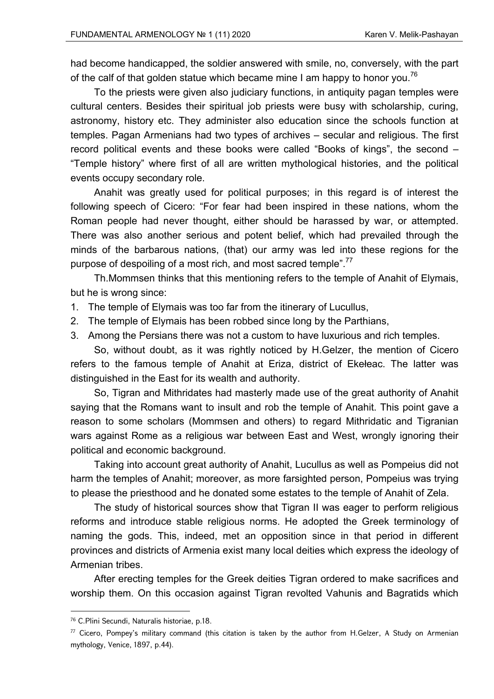had become handicapped, the soldier answered with smile, no, conversely, with the part of the calf of that golden statue which became mine I am happy to honor you.<sup>76</sup>

To the priests were given also judiciary functions, in antiquity pagan temples were cultural centers. Besides their spiritual job priests were busy with scholarship, curing, astronomy, history etc. They administer also education since the schools function at temples. Pagan Armenians had two types of archives – secular and religious. The first record political events and these books were called "Books of kings", the second – "Temple history" where first of all are written mythological histories, and the political events occupy secondary role.

Anahit was greatly used for political purposes; in this regard is of interest the following speech of Cicero: "For fear had been inspired in these nations, whom the Roman people had never thought, either should be harassed by war, or attempted. There was also another serious and potent belief, which had prevailed through the minds of the barbarous nations, (that) our army was led into these regions for the purpose of despoiling of a most rich, and most sacred temple".<sup>77</sup>

Th.Mommsen thinks that this mentioning refers to the temple of Anahit of Elymais, but he is wrong since:

- 1. The temple of Elymais was too far from the itinerary of Lucullus,
- 2. The temple of Elymais has been robbed since long by the Parthians,
- 3. Among the Persians there was not a custom to have luxurious and rich temples.

So, without doubt, as it was rightly noticed by H.Gelzer, the mention of Cicero refers to the famous temple of Anahit at Eriza, district of Ekełeac. The latter was distinguished in the East for its wealth and authority.

So, Tigran and Mithridates had masterly made use of the great authority of Anahit saying that the Romans want to insult and rob the temple of Anahit. This point gave a reason to some scholars (Mommsen and others) to regard Mithridatic and Tigranian wars against Rome as a religious war between East and West, wrongly ignoring their political and economic background.

Taking into account great authority of Anahit, Lucullus as well as Pompeius did not harm the temples of Anahit; moreover, as more farsighted person, Pompeius was trying to please the priesthood and he donated some estates to the temple of Anahit of Zela.

The study of historical sources show that Tigran II was eager to perform religious reforms and introduce stable religious norms. He adopted the Greek terminology of naming the gods. This, indeed, met an opposition since in that period in different provinces and districts of Armenia exist many local deities which express the ideology of Armenian tribes.

After erecting temples for the Greek deities Tigran ordered to make sacrifices and worship them. On this occasion against Tigran revolted Vahunis and Bagratids which

<sup>76</sup> C.Plini Secundi, Naturalis historiae, p.18.

<sup>77</sup> Cicero, Pompey's military command (this citation is taken by the author from H.Gelzer, A Study on Armenian mythology, Venice, 1897, p.44).